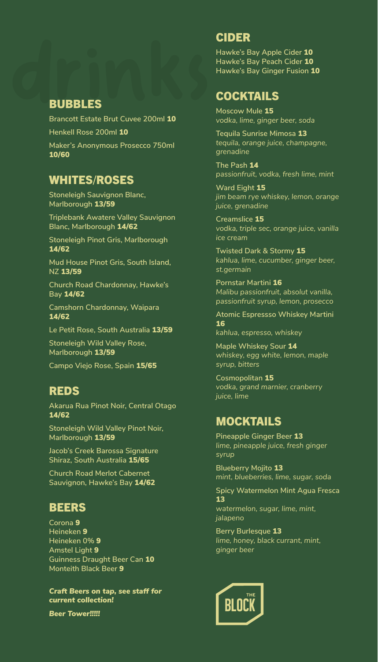drinks Bubbles<br>Bubbles<br>Brancott Estate Brut Cuvee 200ml 10 **Brancott Estate Brut Cuvee 200ml** 10 **Henkell Rose 200ml** 10 **Maker's Anonymous Prosecco 750ml**  10/60

#### WHITES/ROSES

**Stoneleigh Sauvignon Blanc, Marlborough** 13/59

**Triplebank Awatere Valley Sauvignon Blanc, Marlborough** 14/62

**Stoneleigh Pinot Gris, Marlborough**  14/62

**Mud House Pinot Gris, South Island, NZ** 13/59

**Church Road Chardonnay, Hawke's Bay** 14/62

**Camshorn Chardonnay, Waipara**  14/62

**Le Petit Rose, South Australia** 13/59

**Stoneleigh Wild Valley Rose, Marlborough** 13/59

**Campo Viejo Rose, Spain** 15/65

#### REDS

**Akarua Rua Pinot Noir, Central Otago**  14/62

**Stoneleigh Wild Valley Pinot Noir, Marlborough** 13/59

**Jacob's Creek Barossa Signature Shiraz, South Australia** 15/65

**Church Road Merlot Cabernet Sauvignon, Hawke's Bay** 14/62

#### **BEERS**

**Corona** 9 **Heineken** 9 **Heineken 0%** 9 **Amstel Light** 9 **Guinness Draught Beer Can** 10 **Monteith Black Beer** 9

*Craft Beers on tap, see staff for current collection!*

*Beer Tower!!!!!*

#### CIDER

**Hawke's Bay Apple Cider** 10 **Hawke's Bay Peach Cider** 10 **Hawke's Bay Ginger Fusion** 10

### **COCKTAILS**

**Moscow Mule** 15 *vodka, lime, ginger beer, soda*

**Tequila Sunrise Mimosa** 13 *tequila, orange juice, champagne, grenadine*

**The Pash** 14 *passionfruit, vodka, fresh lime, mint*

**Ward Eight** 15 *jim beam rye whiskey, lemon, orange juice, grenadine*

**Creamslice** 15 *vodka, triple sec, orange juice, vanilla ice cream*

**Twisted Dark & Stormy** 15 *kahlua, lime, cucumber, ginger beer, st.germain*

**Pornstar Martini** 16 *Malibu passionfruit, absolut vanilla, passionfruit syrup, lemon, prosecco*

**Atomic Espressso Whiskey Martini**  16

*kahlua, espresso, whiskey* 

**Maple Whiskey Sour** 14 *whiskey, egg white, lemon, maple syrup, bitters*

**Cosmopolitan** 15 *vodka, grand marnier, cranberry juice, lime*

## MOCKTAILS

**Pineapple Ginger Beer** 13 *lime, pineapple juice, fresh ginger syrup*

**Blueberry Mojito** 13 *mint, blueberries, lime, sugar, soda*

**Spicy Watermelon Mint Agua Fresca**  13 *watermelon, sugar, lime, mint,* 

*jalapeno*

**Berry Burlesque** 13 *lime, honey, black currant, mint, ginger beer*